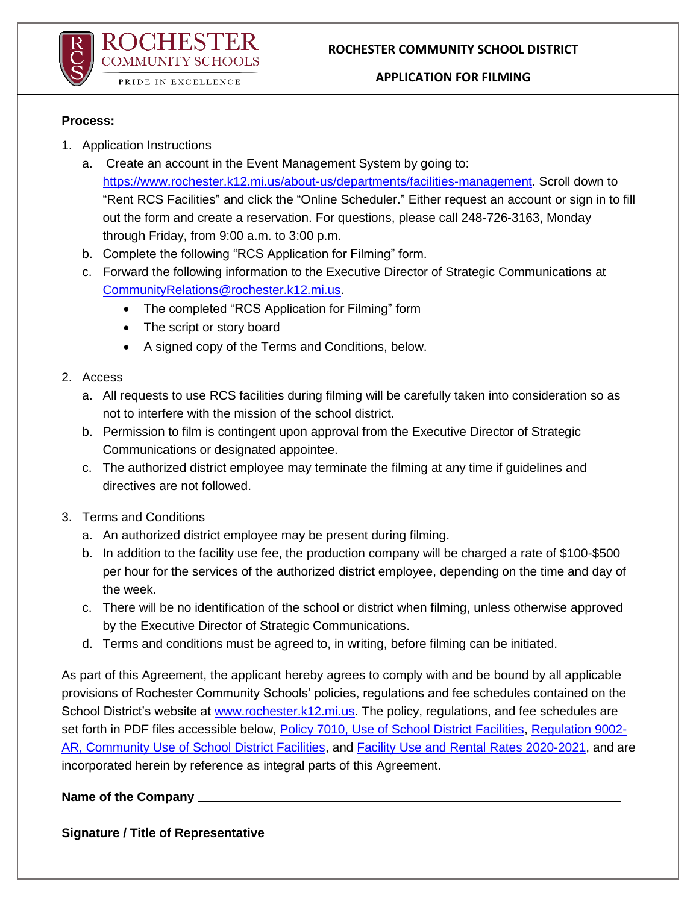

### **APPLICATION FOR FILMING**

### **Process:**

- 1. Application Instructions
	- a. Create an account in the Event Management System by going to: [https://www.rochester.k12.mi.us/about-us/departments/facilities-management.](https://www.rochester.k12.mi.us/about-us/departments/facilities-management) Scroll down to "Rent RCS Facilities" and click the "Online Scheduler." Either request an account or sign in to fill out the form and create a reservation. For questions, please call 248-726-3163, Monday through Friday, from 9:00 a.m. to 3:00 p.m.
	- b. Complete the following "RCS Application for Filming" form.
	- c. Forward the following information to the Executive Director of Strategic Communications at [CommunityRelations@rochester.k12.mi.us.](mailto:CommunityRelations@rochester.k12.mi.us)
		- The completed "RCS Application for Filming" form
		- The script or story board
		- A signed copy of the Terms and Conditions, below.

# 2. Access

- a. All requests to use RCS facilities during filming will be carefully taken into consideration so as not to interfere with the mission of the school district.
- b. Permission to film is contingent upon approval from the Executive Director of Strategic Communications or designated appointee.
- c. The authorized district employee may terminate the filming at any time if guidelines and directives are not followed.
- 3. Terms and Conditions
	- a. An authorized district employee may be present during filming.
	- b. In addition to the facility use fee, the production company will be charged a rate of \$100-\$500 per hour for the services of the authorized district employee, depending on the time and day of the week.
	- c. There will be no identification of the school or district when filming, unless otherwise approved by the Executive Director of Strategic Communications.
	- d. Terms and conditions must be agreed to, in writing, before filming can be initiated.

As part of this Agreement, the applicant hereby agrees to comply with and be bound by all applicable provisions of Rochester Community Schools' policies, regulations and fee schedules contained on the School District's website at [www.rochester.k12.mi.us.](http://www.rochester.k12.mi.us/) The policy, regulations, and fee schedules are set forth in PDF files accessible below, [Policy 7010, Use of School District Facilities,](https://resources.finalsite.net/images/v1597325694/rochesterk12mius/zh5rl5pc0fnzrio71etk/7000Policies.pdf) [Regulation 9002-](https://resources.finalsite.net/images/v1597325754/rochesterk12mius/jrdyoyqrf4jv3o2qumqr/9000AR82018.pdf) [AR, Community Use of School District Facilities,](https://resources.finalsite.net/images/v1597325754/rochesterk12mius/jrdyoyqrf4jv3o2qumqr/9000AR82018.pdf) and [Facility Use and Rental Rates 2020-2021,](https://resources.finalsite.net/images/v1613677289/rochesterk12mius/kxr44xbfqvca426mxxid/FacilityUseandRentalRates2020-2021_1.pdf) and are incorporated herein by reference as integral parts of this Agreement.

# **Name of the Company**

**Signature / Title of Representative**